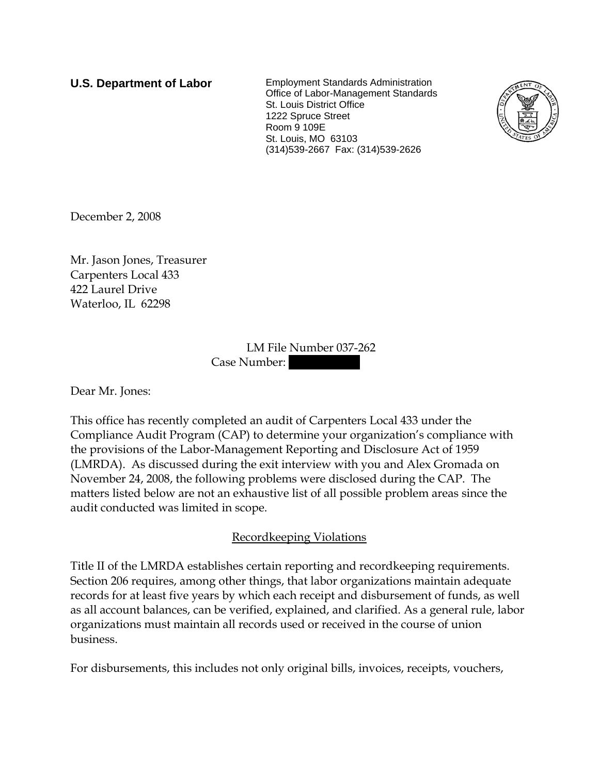**U.S. Department of Labor** Employment Standards Administration Office of Labor-Management Standards St. Louis District Office 1222 Spruce Street Room 9 109E St. Louis, MO 63103 (314)539-2667 Fax: (314)539-2626



December 2, 2008

Mr. Jason Jones, Treasurer Carpenters Local 433 422 Laurel Drive Waterloo, IL 62298

| LM File Number 037-262 |  |
|------------------------|--|
| Case Number:           |  |

Dear Mr. Jones:

This office has recently completed an audit of Carpenters Local 433 under the Compliance Audit Program (CAP) to determine your organization's compliance with the provisions of the Labor-Management Reporting and Disclosure Act of 1959 (LMRDA). As discussed during the exit interview with you and Alex Gromada on November 24, 2008, the following problems were disclosed during the CAP. The matters listed below are not an exhaustive list of all possible problem areas since the audit conducted was limited in scope.

# Recordkeeping Violations

Title II of the LMRDA establishes certain reporting and recordkeeping requirements. Section 206 requires, among other things, that labor organizations maintain adequate records for at least five years by which each receipt and disbursement of funds, as well as all account balances, can be verified, explained, and clarified. As a general rule, labor organizations must maintain all records used or received in the course of union business.

For disbursements, this includes not only original bills, invoices, receipts, vouchers,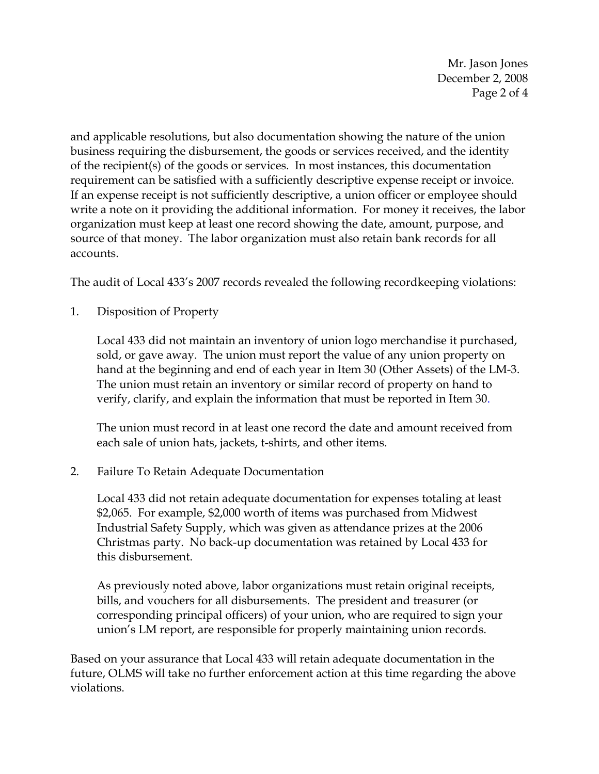Mr. Jason Jones December 2, 2008 Page 2 of 4

and applicable resolutions, but also documentation showing the nature of the union business requiring the disbursement, the goods or services received, and the identity of the recipient(s) of the goods or services. In most instances, this documentation requirement can be satisfied with a sufficiently descriptive expense receipt or invoice. If an expense receipt is not sufficiently descriptive, a union officer or employee should write a note on it providing the additional information. For money it receives, the labor organization must keep at least one record showing the date, amount, purpose, and source of that money. The labor organization must also retain bank records for all accounts.

The audit of Local 433's 2007 records revealed the following recordkeeping violations:

1. Disposition of Property

Local 433 did not maintain an inventory of union logo merchandise it purchased, sold, or gave away. The union must report the value of any union property on hand at the beginning and end of each year in Item 30 (Other Assets) of the LM-3. The union must retain an inventory or similar record of property on hand to verify, clarify, and explain the information that must be reported in Item 30.

The union must record in at least one record the date and amount received from each sale of union hats, jackets, t-shirts, and other items.

2. Failure To Retain Adequate Documentation

Local 433 did not retain adequate documentation for expenses totaling at least \$2,065. For example, \$2,000 worth of items was purchased from Midwest Industrial Safety Supply, which was given as attendance prizes at the 2006 Christmas party. No back-up documentation was retained by Local 433 for this disbursement.

As previously noted above, labor organizations must retain original receipts, bills, and vouchers for all disbursements. The president and treasurer (or corresponding principal officers) of your union, who are required to sign your union's LM report, are responsible for properly maintaining union records.

Based on your assurance that Local 433 will retain adequate documentation in the future, OLMS will take no further enforcement action at this time regarding the above violations.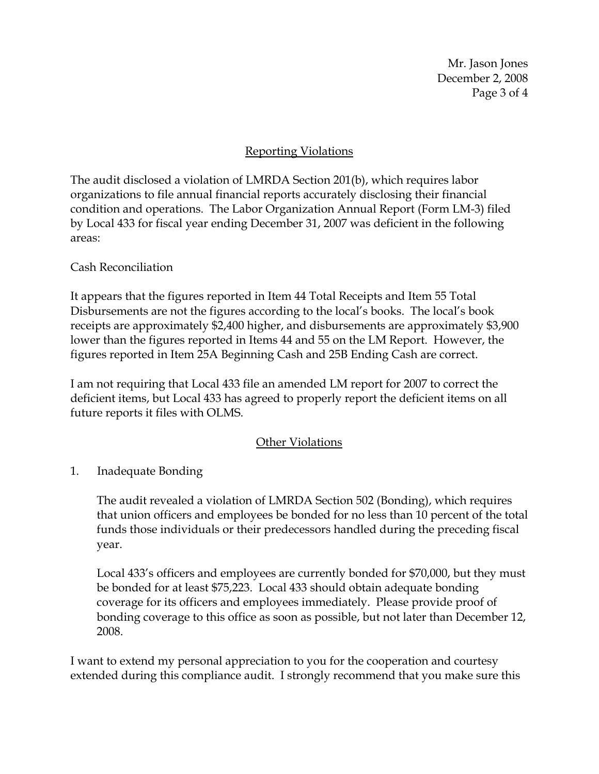Mr. Jason Jones December 2, 2008 Page 3 of 4

# Reporting Violations

The audit disclosed a violation of LMRDA Section 201(b), which requires labor organizations to file annual financial reports accurately disclosing their financial condition and operations. The Labor Organization Annual Report (Form LM-3) filed by Local 433 for fiscal year ending December 31, 2007 was deficient in the following areas:

## Cash Reconciliation

It appears that the figures reported in Item 44 Total Receipts and Item 55 Total Disbursements are not the figures according to the local's books. The local's book receipts are approximately \$2,400 higher, and disbursements are approximately \$3,900 lower than the figures reported in Items 44 and 55 on the LM Report. However, the figures reported in Item 25A Beginning Cash and 25B Ending Cash are correct.

I am not requiring that Local 433 file an amended LM report for 2007 to correct the deficient items, but Local 433 has agreed to properly report the deficient items on all future reports it files with OLMS.

## Other Violations

# 1. Inadequate Bonding

The audit revealed a violation of LMRDA Section 502 (Bonding), which requires that union officers and employees be bonded for no less than 10 percent of the total funds those individuals or their predecessors handled during the preceding fiscal year.

Local 433's officers and employees are currently bonded for \$70,000, but they must be bonded for at least \$75,223. Local 433 should obtain adequate bonding coverage for its officers and employees immediately. Please provide proof of bonding coverage to this office as soon as possible, but not later than December 12, 2008.

I want to extend my personal appreciation to you for the cooperation and courtesy extended during this compliance audit. I strongly recommend that you make sure this